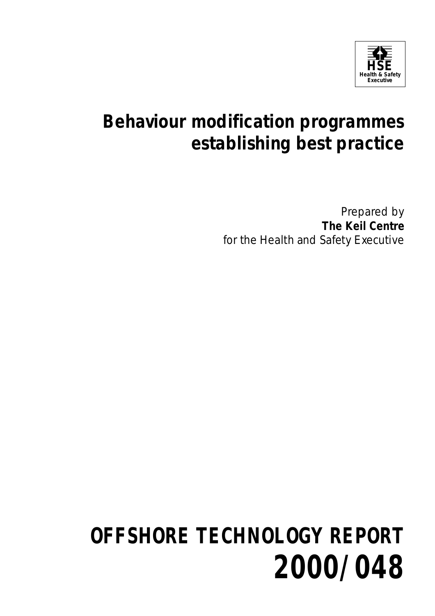

## **Behaviour modification programmes establishing best practice**

Prepared by **The Keil Centre** for the Health and Safety Executive

# **OFFSHORE TECHNOLOGY REPORT 2000/048**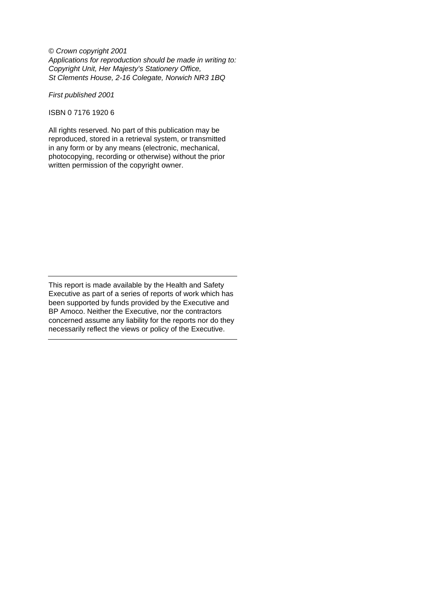© Crown copyright 2001 Applications for reproduction should be made in writing to: Copyright Unit, Her Majesty's Stationery Office, St Clements House, 2-16 Colegate, Norwich NR3 1BQ

First published 2001

ISBN 0 7176 1920 6

All rights reserved. No part of this publication may be reproduced, stored in a retrieval system, or transmitted in any form or by any means (electronic, mechanical, photocopying, recording or otherwise) without the prior written permission of the copyright owner.

This report is made available by the Health and Safety Executive as part of a series of reports of work which has been supported by funds provided by the Executive and BP Amoco. Neither the Executive, nor the contractors concerned assume any liability for the reports nor do they necessarily reflect the views or policy of the Executive.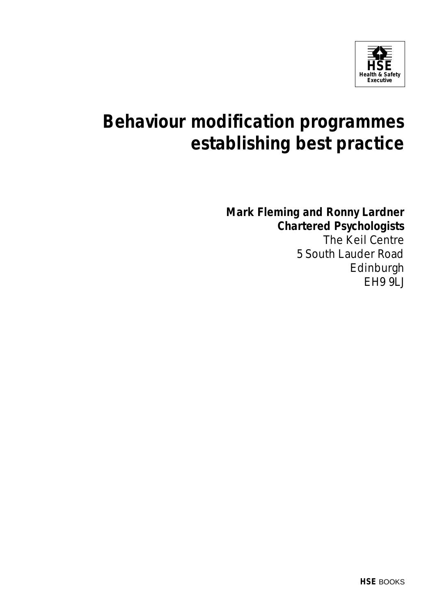

## **Behaviour modification programmes establishing best practice**

**Mark Fleming and Ronny Lardner Chartered Psychologists**

The Keil Centre 5 South Lauder Road Edinburgh EH9 9LJ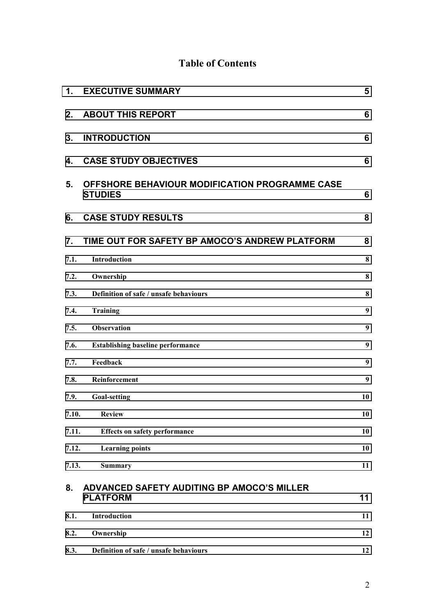## **Table of Contents**

| $\mathbf 1$ . | <b>EXECUTIVE SUMMARY</b>                                         | 5        |
|---------------|------------------------------------------------------------------|----------|
| 2.            | <b>ABOUT THIS REPORT</b>                                         | 6        |
| 3.            | <b>INTRODUCTION</b>                                              | 6        |
| 4.            | <b>CASE STUDY OBJECTIVES</b>                                     | 6        |
| 5.            | OFFSHORE BEHAVIOUR MODIFICATION PROGRAMME CASE<br><b>STUDIES</b> | 6        |
| 6.            | <b>CASE STUDY RESULTS</b>                                        | 8        |
| 7.            | TIME OUT FOR SAFETY BP AMOCO'S ANDREW PLATFORM                   | 8        |
| 7.1.          | Introduction                                                     | $\bf{8}$ |
| 7.2.          | Ownership                                                        | 8        |
| 7.3.          | Definition of safe / unsafe behaviours                           | 8        |
| 7.4.          | Training                                                         | 9        |
| 7.5.          | <b>Observation</b>                                               | 9        |
| 7.6.          | <b>Establishing baseline performance</b>                         | 9        |
| 7.7.          | Feedback                                                         | 9        |
| 7.8.          | Reinforcement                                                    | 9        |
| 7.9.          | <b>Goal-setting</b>                                              | 10       |
| 7.10.         | <b>Review</b>                                                    | 10       |
| 7.11.         | <b>Effects on safety performance</b>                             | 10       |
| 7.12.         | <b>Learning points</b>                                           | 10       |
| 7.13.         | <b>Summary</b>                                                   | 11       |
| 8.            | ADVANCED SAFETY AUDITING BP AMOCO'S MILLER<br><b>PLATFORM</b>    | 11       |
| 8.1.          | Introduction                                                     | 11       |
| 8.2.          | Ownership                                                        | 12       |
| 8.3.          | Definition of safe / unsafe behaviours                           | 12       |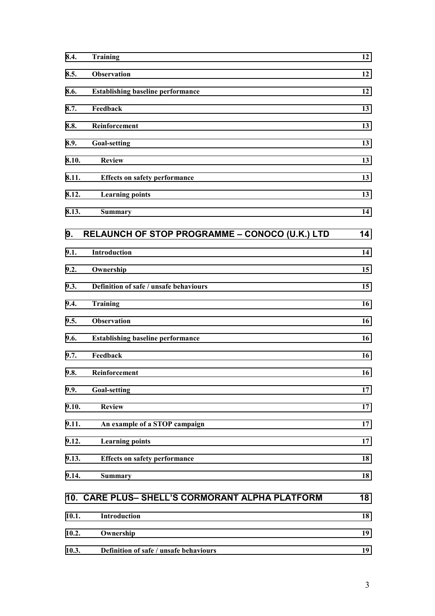| 8.4.  | <b>Training</b>                                 | 12 |
|-------|-------------------------------------------------|----|
| 8.5.  | <b>Observation</b>                              | 12 |
| 8.6.  | <b>Establishing baseline performance</b>        | 12 |
| 8.7.  | Feedback                                        | 13 |
| 8.8.  | Reinforcement                                   | 13 |
| 8.9.  | <b>Goal-setting</b>                             | 13 |
| 8.10. | <b>Review</b>                                   | 13 |
| 8.11. | <b>Effects on safety performance</b>            | 13 |
| 8.12. | <b>Learning points</b>                          | 13 |
| 8.13. | <b>Summary</b>                                  | 14 |
| 9.    | RELAUNCH OF STOP PROGRAMME - CONOCO (U.K.) LTD  | 14 |
| 9.1.  | Introduction                                    | 14 |
| 9.2.  | Ownership                                       | 15 |
| 9.3.  | Definition of safe / unsafe behaviours          | 15 |
| 9.4.  | <b>Training</b>                                 | 16 |
| 9.5.  | <b>Observation</b>                              | 16 |
| 9.6.  | <b>Establishing baseline performance</b>        | 16 |
| 9.7.  | Feedback                                        | 16 |
| 9.8.  | Reinforcement                                   | 16 |
| 9.9.  | <b>Goal-setting</b>                             | 17 |
| 9.10. | <b>Review</b>                                   | 17 |
| 9.11. | An example of a STOP campaign                   | 17 |
| 9.12. | <b>Learning points</b>                          | 17 |
| 9.13. | <b>Effects on safety performance</b>            | 18 |
| 9.14. | <b>Summary</b>                                  | 18 |
|       | 10. CARE PLUS- SHELL'S CORMORANT ALPHA PLATFORM | 18 |
| 10.1. | Introduction                                    | 18 |
| 10.2. | Ownership                                       | 19 |
| 10.3. | Definition of safe / unsafe behaviours          | 19 |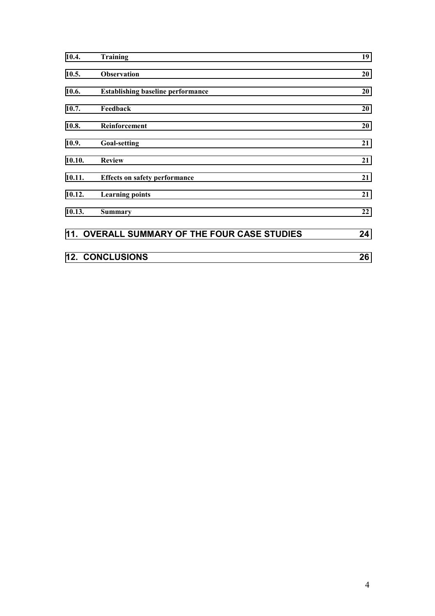| 10.4.  | <b>Training</b>                              | 19 |  |  |
|--------|----------------------------------------------|----|--|--|
| 10.5.  | <b>Observation</b>                           | 20 |  |  |
| 10.6.  | <b>Establishing baseline performance</b>     | 20 |  |  |
| 10.7.  | Feedback                                     | 20 |  |  |
| 10.8.  | Reinforcement                                | 20 |  |  |
| 10.9.  | <b>Goal-setting</b>                          | 21 |  |  |
| 10.10. | <b>Review</b>                                | 21 |  |  |
| 10.11. | <b>Effects on safety performance</b>         | 21 |  |  |
| 10.12. | <b>Learning points</b>                       | 21 |  |  |
| 10.13. | <b>Summary</b>                               | 22 |  |  |
|        | 11. OVERALL SUMMARY OF THE FOUR CASE STUDIES | 24 |  |  |
|        | <b>12. CONCLUSIONS</b><br>26                 |    |  |  |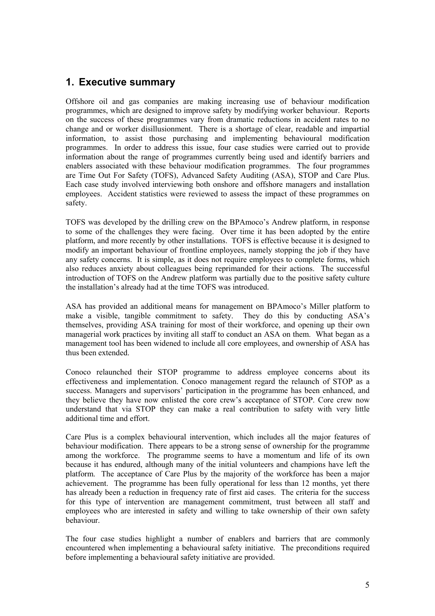### <span id="page-6-0"></span>**1. Executive summary**

Offshore oil and gas companies are making increasing use of behaviour modification programmes, which are designed to improve safety by modifying worker behaviour. Reports on the success of these programmes vary from dramatic reductions in accident rates to no change and or worker disillusionment. There is a shortage of clear, readable and impartial information, to assist those purchasing and implementing behavioural modification programmes. In order to address this issue, four case studies were carried out to provide information about the range of programmes currently being used and identify barriers and enablers associated with these behaviour modification programmes. The four programmes are Time Out For Safety (TOFS), Advanced Safety Auditing (ASA), STOP and Care Plus. Each case study involved interviewing both onshore and offshore managers and installation employees. Accident statistics were reviewed to assess the impact of these programmes on safety.

TOFS was developed by the drilling crew on the BPAmoco's Andrew platform, in response to some of the challenges they were facing. Over time it has been adopted by the entire platform, and more recently by other installations. TOFS is effective because it is designed to modify an important behaviour of frontline employees, namely stopping the job if they have any safety concerns. It is simple, as it does not require employees to complete forms, which also reduces anxiety about colleagues being reprimanded for their actions. The successful introduction of TOFS on the Andrew platform was partially due to the positive safety culture the installation's already had at the time TOFS was introduced.

ASA has provided an additional means for management on BPAmoco's Miller platform to make a visible, tangible commitment to safety. They do this by conducting ASA's themselves, providing ASA training for most of their workforce, and opening up their own managerial work practices by inviting all staff to conduct an ASA on them. What began as a management tool has been widened to include all core employees, and ownership of ASA has thus been extended.

Conoco relaunched their STOP programme to address employee concerns about its effectiveness and implementation. Conoco management regard the relaunch of STOP as a success. Managers and supervisors' participation in the programme has been enhanced, and they believe they have now enlisted the core crew's acceptance of STOP. Core crew now understand that via STOP they can make a real contribution to safety with very little additional time and effort.

Care Plus is a complex behavioural intervention, which includes all the major features of behaviour modification. There appears to be a strong sense of ownership for the programme among the workforce. The programme seems to have a momentum and life of its own because it has endured, although many of the initial volunteers and champions have left the platform. The acceptance of Care Plus by the majority of the workforce has been a major achievement. The programme has been fully operational for less than 12 months, yet there has already been a reduction in frequency rate of first aid cases. The criteria for the success for this type of intervention are management commitment, trust between all staff and employees who are interested in safety and willing to take ownership of their own safety behaviour.

The four case studies highlight a number of enablers and barriers that are commonly encountered when implementing a behavioural safety initiative. The preconditions required before implementing a behavioural safety initiative are provided.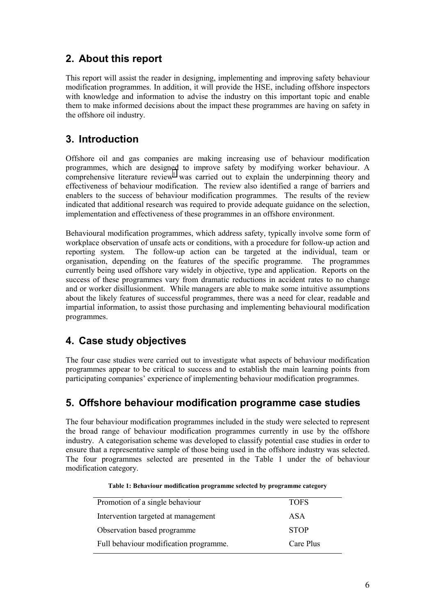## <span id="page-7-0"></span>**2. About this report**

This report will assist the reader in designing, implementing and improving safety behaviour modification programmes. In addition, it will provide the HSE, including offshore inspectors with knowledge and information to advise the industry on this important topic and enable them to make informed decisions about the impact these programmes are having on safety in the offshore oil industry.

## **3. Introduction**

Offshore oil and gas companies are making increasing use of behaviour modification programmes, which are designed to improve safety by modifying worker behaviour. A comprehensive literature review<sup>1</sup> was carried out to explain the underpinning theory and effectiveness of behaviour modification. The review also identified a range of barriers and enablers to the success of behaviour modification programmes. The results of the review indicated that additional research was required to provide adequate guidance on the selection, implementation and effectiveness of these programmes in an offshore environment.

Behavioural modification programmes, which address safety, typically involve some form of workplace observation of unsafe acts or conditions, with a procedure for follow-up action and reporting system. The follow-up action can be targeted at the individual, team or organisation, depending on the features of the specific programme. The programmes currently being used offshore vary widely in objective, type and application. Reports on the success of these programmes vary from dramatic reductions in accident rates to no change and or worker disillusionment. While managers are able to make some intuitive assumptions about the likely features of successful programmes, there was a need for clear, readable and impartial information, to assist those purchasing and implementing behavioural modification programmes.

## **4. Case study objectives**

The four case studies were carried out to investigate what aspects of behaviour modification programmes appear to be critical to success and to establish the main learning points from participating companies' experience of implementing behaviour modification programmes.

## **5. Offshore behaviour modification programme case studies**

The four behaviour modification programmes included in the study were selected to represent the broad range of behaviour modification programmes currently in use by the offshore industry. A categorisation scheme was developed to classify potential case studies in order to ensure that a representative sample of those being used in the offshore industry was selected. The four programmes selected are presented in the Table 1 under the of behaviour modification category.

| <b>TOFS</b> |
|-------------|
| ASA         |
| <b>STOP</b> |
| Care Plus   |
|             |

| Table 1: Behaviour modification programme selected by programme category |  |  |  |
|--------------------------------------------------------------------------|--|--|--|
|                                                                          |  |  |  |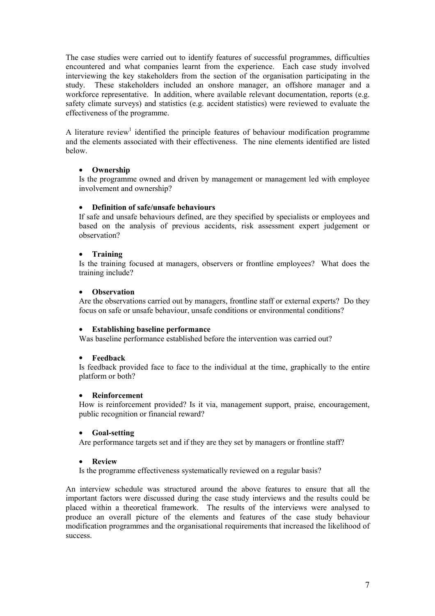The case studies were carried out to identify features of successful programmes, difficulties encountered and what companies learnt from the experience. Each case study involved interviewing the key stakeholders from the section of the organisation participating in the study. These stakeholders included an onshore manager, an offshore manager and a workforce representative. In addition, where available relevant documentation, reports (e.g. safety climate surveys) and statistics (e.g. accident statistics) were reviewed to evaluate the effectiveness of the programme.

A literature review<sup>1</sup> identified the principle features of behaviour modification programme and the elements associated with their effectiveness. The nine elements identified are listed below.

#### • **Ownership**

Is the programme owned and driven by management or management led with employee involvement and ownership?

#### • **Definition of safe/unsafe behaviours**

If safe and unsafe behaviours defined, are they specified by specialists or employees and based on the analysis of previous accidents, risk assessment expert judgement or observation?

#### • **Training**

Is the training focused at managers, observers or frontline employees? What does the training include?

#### • **Observation**

Are the observations carried out by managers, frontline staff or external experts? Do they focus on safe or unsafe behaviour, unsafe conditions or environmental conditions?

#### • **Establishing baseline performance**

Was baseline performance established before the intervention was carried out?

#### • **Feedback**

Is feedback provided face to face to the individual at the time, graphically to the entire platform or both?

#### • **Reinforcement**

How is reinforcement provided? Is it via, management support, praise, encouragement, public recognition or financial reward?

#### • **Goal-setting**

Are performance targets set and if they are they set by managers or frontline staff?

#### • **Review**

Is the programme effectiveness systematically reviewed on a regular basis?

An interview schedule was structured around the above features to ensure that all the important factors were discussed during the case study interviews and the results could be placed within a theoretical framework. The results of the interviews were analysed to produce an overall picture of the elements and features of the case study behaviour modification programmes and the organisational requirements that increased the likelihood of success.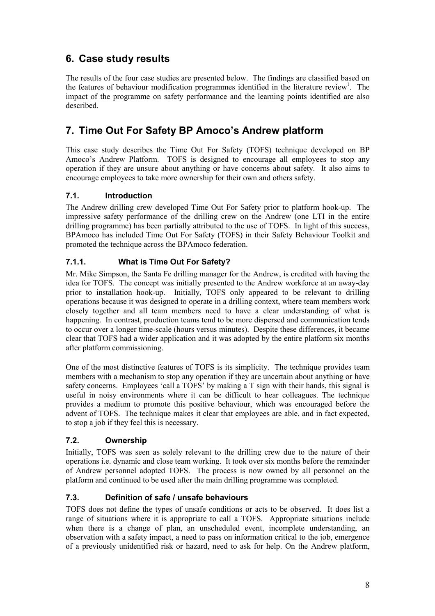## <span id="page-9-0"></span>**6. Case study results**

The results of the four case studies are presented below. The findings are classified based on the features of behaviour modification programmes identified in the literature review<sup>1</sup>. The impact of the programme on safety performance and the learning points identified are also described.

## **7. Time Out For Safety BP Amoco's Andrew platform**

This case study describes the Time Out For Safety (TOFS) technique developed on BP Amoco's Andrew Platform. TOFS is designed to encourage all employees to stop any operation if they are unsure about anything or have concerns about safety. It also aims to encourage employees to take more ownership for their own and others safety.

#### **7.1. Introduction**

The Andrew drilling crew developed Time Out For Safety prior to platform hook-up. The impressive safety performance of the drilling crew on the Andrew (one LTI in the entire drilling programme) has been partially attributed to the use of TOFS. In light of this success, BPAmoco has included Time Out For Safety (TOFS) in their Safety Behaviour Toolkit and promoted the technique across the BPAmoco federation.

#### **7.1.1. What is Time Out For Safety?**

Mr. Mike Simpson, the Santa Fe drilling manager for the Andrew, is credited with having the idea for TOFS. The concept was initially presented to the Andrew workforce at an away-day prior to installation hook-up. Initially, TOFS only appeared to be relevant to drilling operations because it was designed to operate in a drilling context, where team members work closely together and all team members need to have a clear understanding of what is happening. In contrast, production teams tend to be more dispersed and communication tends to occur over a longer time-scale (hours versus minutes). Despite these differences, it became clear that TOFS had a wider application and it was adopted by the entire platform six months after platform commissioning.

One of the most distinctive features of TOFS is its simplicity. The technique provides team members with a mechanism to stop any operation if they are uncertain about anything or have safety concerns. Employees 'call a TOFS' by making a T sign with their hands, this signal is useful in noisy environments where it can be difficult to hear colleagues. The technique provides a medium to promote this positive behaviour, which was encouraged before the advent of TOFS. The technique makes it clear that employees are able, and in fact expected, to stop a job if they feel this is necessary.

#### **7.2. Ownership**

Initially, TOFS was seen as solely relevant to the drilling crew due to the nature of their operations i.e. dynamic and close team working. It took over six months before the remainder of Andrew personnel adopted TOFS. The process is now owned by all personnel on the platform and continued to be used after the main drilling programme was completed.

#### **7.3. Definition of safe / unsafe behaviours**

TOFS does not define the types of unsafe conditions or acts to be observed. It does list a range of situations where it is appropriate to call a TOFS. Appropriate situations include when there is a change of plan, an unscheduled event, incomplete understanding, an observation with a safety impact, a need to pass on information critical to the job, emergence of a previously unidentified risk or hazard, need to ask for help. On the Andrew platform,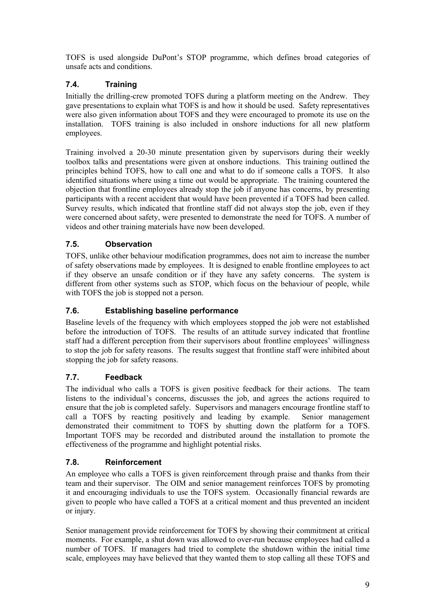<span id="page-10-0"></span>TOFS is used alongside DuPont's STOP programme, which defines broad categories of unsafe acts and conditions.

#### **7.4. Training**

Initially the drilling-crew promoted TOFS during a platform meeting on the Andrew. They gave presentations to explain what TOFS is and how it should be used. Safety representatives were also given information about TOFS and they were encouraged to promote its use on the installation. TOFS training is also included in onshore inductions for all new platform employees.

Training involved a 20-30 minute presentation given by supervisors during their weekly toolbox talks and presentations were given at onshore inductions. This training outlined the principles behind TOFS, how to call one and what to do if someone calls a TOFS. It also identified situations where using a time out would be appropriate. The training countered the objection that frontline employees already stop the job if anyone has concerns, by presenting participants with a recent accident that would have been prevented if a TOFS had been called. Survey results, which indicated that frontline staff did not always stop the job, even if they were concerned about safety, were presented to demonstrate the need for TOFS. A number of videos and other training materials have now been developed.

#### **7.5. Observation**

TOFS, unlike other behaviour modification programmes, does not aim to increase the number of safety observations made by employees. It is designed to enable frontline employees to act if they observe an unsafe condition or if they have any safety concerns. The system is different from other systems such as STOP, which focus on the behaviour of people, while with TOFS the job is stopped not a person.

#### **7.6. Establishing baseline performance**

Baseline levels of the frequency with which employees stopped the job were not established before the introduction of TOFS. The results of an attitude survey indicated that frontline staff had a different perception from their supervisors about frontline employees' willingness to stop the job for safety reasons. The results suggest that frontline staff were inhibited about stopping the job for safety reasons.

#### **7.7. Feedback**

The individual who calls a TOFS is given positive feedback for their actions. The team listens to the individual's concerns, discusses the job, and agrees the actions required to ensure that the job is completed safely. Supervisors and managers encourage frontline staff to call a TOFS by reacting positively and leading by example. Senior management demonstrated their commitment to TOFS by shutting down the platform for a TOFS. Important TOFS may be recorded and distributed around the installation to promote the effectiveness of the programme and highlight potential risks.

#### **7.8. Reinforcement**

An employee who calls a TOFS is given reinforcement through praise and thanks from their team and their supervisor. The OIM and senior management reinforces TOFS by promoting it and encouraging individuals to use the TOFS system. Occasionally financial rewards are given to people who have called a TOFS at a critical moment and thus prevented an incident or injury.

Senior management provide reinforcement for TOFS by showing their commitment at critical moments. For example, a shut down was allowed to over-run because employees had called a number of TOFS. If managers had tried to complete the shutdown within the initial time scale, employees may have believed that they wanted them to stop calling all these TOFS and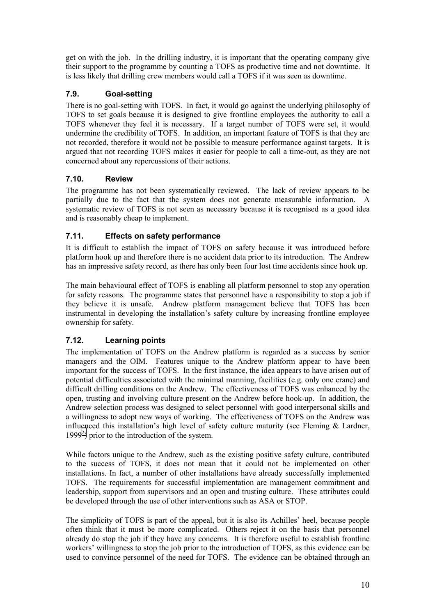<span id="page-11-0"></span>get on with the job. In the drilling industry, it is important that the operating company give their support to the programme by counting a TOFS as productive time and not downtime. It is less likely that drilling crew members would call a TOFS if it was seen as downtime.

#### **7.9. Goal-setting**

There is no goal-setting with TOFS. In fact, it would go against the underlying philosophy of TOFS to set goals because it is designed to give frontline employees the authority to call a TOFS whenever they feel it is necessary. If a target number of TOFS were set, it would undermine the credibility of TOFS. In addition, an important feature of TOFS is that they are not recorded, therefore it would not be possible to measure performance against targets. It is argued that not recording TOFS makes it easier for people to call a time-out, as they are not concerned about any repercussions of their actions.

#### **7.10. Review**

The programme has not been systematically reviewed. The lack of review appears to be partially due to the fact that the system does not generate measurable information. A systematic review of TOFS is not seen as necessary because it is recognised as a good idea and is reasonably cheap to implement.

#### **7.11. Effects on safety performance**

It is difficult to establish the impact of TOFS on safety because it was introduced before platform hook up and therefore there is no accident data prior to its introduction. The Andrew has an impressive safety record, as there has only been four lost time accidents since hook up.

The main behavioural effect of TOFS is enabling all platform personnel to stop any operation for safety reasons. The programme states that personnel have a responsibility to stop a job if they believe it is unsafe. Andrew platform management believe that TOFS has been instrumental in developing the installation's safety culture by increasing frontline employee ownership for safety.

#### **7.12. Learning points**

The implementation of TOFS on the Andrew platform is regarded as a success by senior managers and the OIM. Features unique to the Andrew platform appear to have been important for the success of TOFS. In the first instance, the idea appears to have arisen out of potential difficulties associated with the minimal manning, facilities (e.g. only one crane) and difficult drilling conditions on the Andrew. The effectiveness of TOFS was enhanced by the open, trusting and involving culture present on the Andrew before hook-up. In addition, the Andrew selection process was designed to select personnel with good interpersonal skills and a willingness to adopt new ways of working. The effectiveness of TOFS on the Andrew was influenced this installation's high level of safety culture maturity (see Fleming & Lardner, 1999<sup>[2](#page-27-0)</sup>) prior to the introduction of the system.

While factors unique to the Andrew, such as the existing positive safety culture, contributed to the success of TOFS, it does not mean that it could not be implemented on other installations. In fact, a number of other installations have already successfully implemented TOFS. The requirements for successful implementation are management commitment and leadership, support from supervisors and an open and trusting culture. These attributes could be developed through the use of other interventions such as ASA or STOP.

The simplicity of TOFS is part of the appeal, but it is also its Achilles' heel, because people often think that it must be more complicated. Others reject it on the basis that personnel already do stop the job if they have any concerns. It is therefore useful to establish frontline workers' willingness to stop the job prior to the introduction of TOFS, as this evidence can be used to convince personnel of the need for TOFS. The evidence can be obtained through an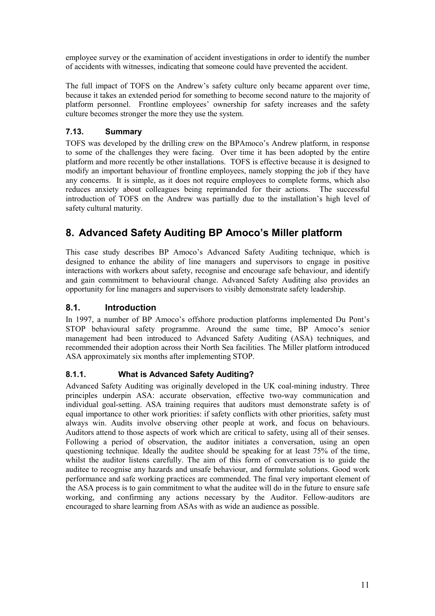<span id="page-12-0"></span>employee survey or the examination of accident investigations in order to identify the number of accidents with witnesses, indicating that someone could have prevented the accident.

The full impact of TOFS on the Andrew's safety culture only became apparent over time, because it takes an extended period for something to become second nature to the majority of platform personnel. Frontline employees' ownership for safety increases and the safety culture becomes stronger the more they use the system.

#### **7.13. Summary**

TOFS was developed by the drilling crew on the BPAmoco's Andrew platform, in response to some of the challenges they were facing. Over time it has been adopted by the entire platform and more recently be other installations. TOFS is effective because it is designed to modify an important behaviour of frontline employees, namely stopping the job if they have any concerns. It is simple, as it does not require employees to complete forms, which also reduces anxiety about colleagues being reprimanded for their actions. The successful introduction of TOFS on the Andrew was partially due to the installation's high level of safety cultural maturity.

## **8. Advanced Safety Auditing BP Amoco's Miller platform**

This case study describes BP Amoco's Advanced Safety Auditing technique, which is designed to enhance the ability of line managers and supervisors to engage in positive interactions with workers about safety, recognise and encourage safe behaviour, and identify and gain commitment to behavioural change. Advanced Safety Auditing also provides an opportunity for line managers and supervisors to visibly demonstrate safety leadership.

#### **8.1. Introduction**

In 1997, a number of BP Amoco's offshore production platforms implemented Du Pont's STOP behavioural safety programme. Around the same time, BP Amoco's senior management had been introduced to Advanced Safety Auditing (ASA) techniques, and recommended their adoption across their North Sea facilities. The Miller platform introduced ASA approximately six months after implementing STOP.

#### **8.1.1. What is Advanced Safety Auditing?**

Advanced Safety Auditing was originally developed in the UK coal-mining industry. Three principles underpin ASA: accurate observation, effective two-way communication and individual goal-setting. ASA training requires that auditors must demonstrate safety is of equal importance to other work priorities: if safety conflicts with other priorities, safety must always win. Audits involve observing other people at work, and focus on behaviours. Auditors attend to those aspects of work which are critical to safety, using all of their senses. Following a period of observation, the auditor initiates a conversation, using an open questioning technique. Ideally the auditee should be speaking for at least 75% of the time, whilst the auditor listens carefully. The aim of this form of conversation is to guide the auditee to recognise any hazards and unsafe behaviour, and formulate solutions. Good work performance and safe working practices are commended. The final very important element of the ASA process is to gain commitment to what the auditee will do in the future to ensure safe working, and confirming any actions necessary by the Auditor. Fellow-auditors are encouraged to share learning from ASAs with as wide an audience as possible.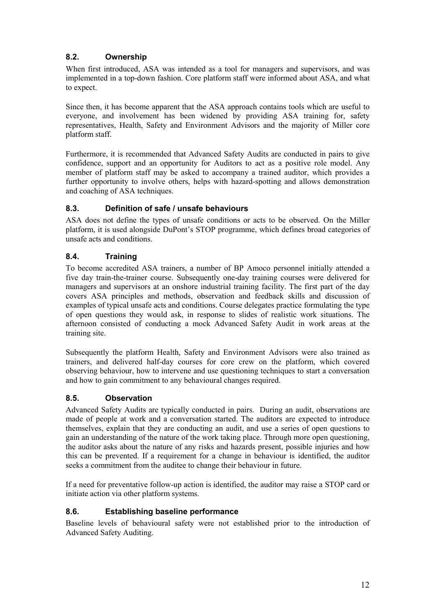#### <span id="page-13-0"></span>**8.2. Ownership**

When first introduced, ASA was intended as a tool for managers and supervisors, and was implemented in a top-down fashion. Core platform staff were informed about ASA, and what to expect.

Since then, it has become apparent that the ASA approach contains tools which are useful to everyone, and involvement has been widened by providing ASA training for, safety representatives, Health, Safety and Environment Advisors and the majority of Miller core platform staff.

Furthermore, it is recommended that Advanced Safety Audits are conducted in pairs to give confidence, support and an opportunity for Auditors to act as a positive role model. Any member of platform staff may be asked to accompany a trained auditor, which provides a further opportunity to involve others, helps with hazard-spotting and allows demonstration and coaching of ASA techniques.

#### **8.3. Definition of safe / unsafe behaviours**

ASA does not define the types of unsafe conditions or acts to be observed. On the Miller platform, it is used alongside DuPont's STOP programme, which defines broad categories of unsafe acts and conditions.

#### **8.4. Training**

To become accredited ASA trainers, a number of BP Amoco personnel initially attended a five day train-the-trainer course. Subsequently one-day training courses were delivered for managers and supervisors at an onshore industrial training facility. The first part of the day covers ASA principles and methods, observation and feedback skills and discussion of examples of typical unsafe acts and conditions. Course delegates practice formulating the type of open questions they would ask, in response to slides of realistic work situations. The afternoon consisted of conducting a mock Advanced Safety Audit in work areas at the training site.

Subsequently the platform Health, Safety and Environment Advisors were also trained as trainers, and delivered half-day courses for core crew on the platform, which covered observing behaviour, how to intervene and use questioning techniques to start a conversation and how to gain commitment to any behavioural changes required.

#### **8.5. Observation**

Advanced Safety Audits are typically conducted in pairs. During an audit, observations are made of people at work and a conversation started. The auditors are expected to introduce themselves, explain that they are conducting an audit, and use a series of open questions to gain an understanding of the nature of the work taking place. Through more open questioning, the auditor asks about the nature of any risks and hazards present, possible injuries and how this can be prevented. If a requirement for a change in behaviour is identified, the auditor seeks a commitment from the auditee to change their behaviour in future.

If a need for preventative follow-up action is identified, the auditor may raise a STOP card or initiate action via other platform systems.

#### **8.6. Establishing baseline performance**

Baseline levels of behavioural safety were not established prior to the introduction of Advanced Safety Auditing.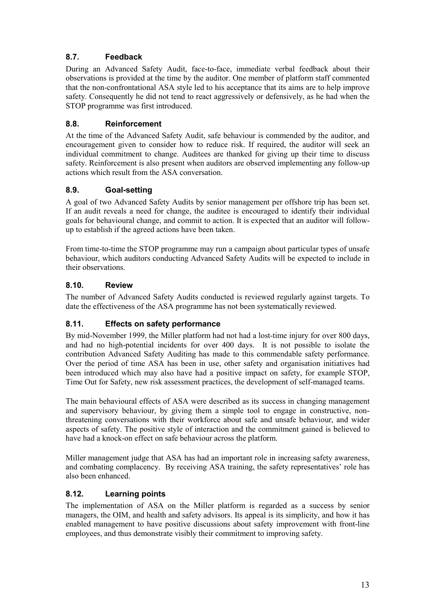#### <span id="page-14-0"></span>**8.7. Feedback**

During an Advanced Safety Audit, face-to-face, immediate verbal feedback about their observations is provided at the time by the auditor. One member of platform staff commented that the non-confrontational ASA style led to his acceptance that its aims are to help improve safety. Consequently he did not tend to react aggressively or defensively, as he had when the STOP programme was first introduced.

#### **8.8. Reinforcement**

At the time of the Advanced Safety Audit, safe behaviour is commended by the auditor, and encouragement given to consider how to reduce risk. If required, the auditor will seek an individual commitment to change. Auditees are thanked for giving up their time to discuss safety. Reinforcement is also present when auditors are observed implementing any follow-up actions which result from the ASA conversation.

#### **8.9. Goal-setting**

A goal of two Advanced Safety Audits by senior management per offshore trip has been set. If an audit reveals a need for change, the auditee is encouraged to identify their individual goals for behavioural change, and commit to action. It is expected that an auditor will followup to establish if the agreed actions have been taken.

From time-to-time the STOP programme may run a campaign about particular types of unsafe behaviour, which auditors conducting Advanced Safety Audits will be expected to include in their observations.

#### **8.10. Review**

The number of Advanced Safety Audits conducted is reviewed regularly against targets. To date the effectiveness of the ASA programme has not been systematically reviewed.

#### **8.11. Effects on safety performance**

By mid-November 1999, the Miller platform had not had a lost-time injury for over 800 days, and had no high-potential incidents for over 400 days. It is not possible to isolate the contribution Advanced Safety Auditing has made to this commendable safety performance. Over the period of time ASA has been in use, other safety and organisation initiatives had been introduced which may also have had a positive impact on safety, for example STOP, Time Out for Safety, new risk assessment practices, the development of self-managed teams.

The main behavioural effects of ASA were described as its success in changing management and supervisory behaviour, by giving them a simple tool to engage in constructive, nonthreatening conversations with their workforce about safe and unsafe behaviour, and wider aspects of safety. The positive style of interaction and the commitment gained is believed to have had a knock-on effect on safe behaviour across the platform.

Miller management judge that ASA has had an important role in increasing safety awareness, and combating complacency. By receiving ASA training, the safety representatives' role has also been enhanced.

#### **8.12. Learning points**

The implementation of ASA on the Miller platform is regarded as a success by senior managers, the OIM, and health and safety advisors. Its appeal is its simplicity, and how it has enabled management to have positive discussions about safety improvement with front-line employees, and thus demonstrate visibly their commitment to improving safety.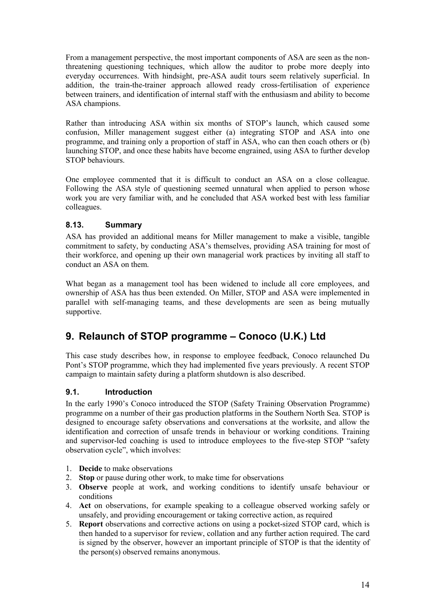<span id="page-15-0"></span>From a management perspective, the most important components of ASA are seen as the nonthreatening questioning techniques, which allow the auditor to probe more deeply into everyday occurrences. With hindsight, pre-ASA audit tours seem relatively superficial. In addition, the train-the-trainer approach allowed ready cross-fertilisation of experience between trainers, and identification of internal staff with the enthusiasm and ability to become ASA champions.

Rather than introducing ASA within six months of STOP's launch, which caused some confusion, Miller management suggest either (a) integrating STOP and ASA into one programme, and training only a proportion of staff in ASA, who can then coach others or (b) launching STOP, and once these habits have become engrained, using ASA to further develop STOP behaviours.

One employee commented that it is difficult to conduct an ASA on a close colleague. Following the ASA style of questioning seemed unnatural when applied to person whose work you are very familiar with, and he concluded that ASA worked best with less familiar colleagues.

#### **8.13. Summary**

ASA has provided an additional means for Miller management to make a visible, tangible commitment to safety, by conducting ASA's themselves, providing ASA training for most of their workforce, and opening up their own managerial work practices by inviting all staff to conduct an ASA on them.

What began as a management tool has been widened to include all core employees, and ownership of ASA has thus been extended. On Miller, STOP and ASA were implemented in parallel with self-managing teams, and these developments are seen as being mutually supportive.

## **9. Relaunch of STOP programme – Conoco (U.K.) Ltd**

This case study describes how, in response to employee feedback, Conoco relaunched Du Pont's STOP programme, which they had implemented five years previously. A recent STOP campaign to maintain safety during a platform shutdown is also described.

#### **9.1. Introduction**

In the early 1990's Conoco introduced the STOP (Safety Training Observation Programme) programme on a number of their gas production platforms in the Southern North Sea. STOP is designed to encourage safety observations and conversations at the worksite, and allow the identification and correction of unsafe trends in behaviour or working conditions. Training and supervisor-led coaching is used to introduce employees to the five-step STOP "safety observation cycle", which involves:

- 1. **Decide** to make observations
- 2. **Stop** or pause during other work, to make time for observations
- 3. **Observe** people at work, and working conditions to identify unsafe behaviour or conditions
- 4. **Act** on observations, for example speaking to a colleague observed working safely or unsafely, and providing encouragement or taking corrective action, as required
- 5. **Report** observations and corrective actions on using a pocket-sized STOP card, which is then handed to a supervisor for review, collation and any further action required. The card is signed by the observer, however an important principle of STOP is that the identity of the person(s) observed remains anonymous.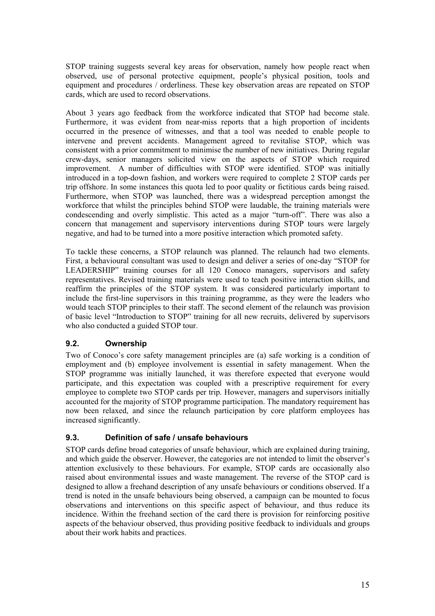<span id="page-16-0"></span>STOP training suggests several key areas for observation, namely how people react when observed, use of personal protective equipment, people's physical position, tools and equipment and procedures / orderliness. These key observation areas are repeated on STOP cards, which are used to record observations.

About 3 years ago feedback from the workforce indicated that STOP had become stale. Furthermore, it was evident from near-miss reports that a high proportion of incidents occurred in the presence of witnesses, and that a tool was needed to enable people to intervene and prevent accidents. Management agreed to revitalise STOP, which was consistent with a prior commitment to minimise the number of new initiatives. During regular crew-days, senior managers solicited view on the aspects of STOP which required improvement. A number of difficulties with STOP were identified. STOP was initially introduced in a top-down fashion, and workers were required to complete 2 STOP cards per trip offshore. In some instances this quota led to poor quality or fictitious cards being raised. Furthermore, when STOP was launched, there was a widespread perception amongst the workforce that whilst the principles behind STOP were laudable, the training materials were condescending and overly simplistic. This acted as a major "turn-off". There was also a concern that management and supervisory interventions during STOP tours were largely negative, and had to be turned into a more positive interaction which promoted safety.

To tackle these concerns, a STOP relaunch was planned. The relaunch had two elements. First, a behavioural consultant was used to design and deliver a series of one-day "STOP for LEADERSHIP" training courses for all 120 Conoco managers, supervisors and safety representatives. Revised training materials were used to teach positive interaction skills, and reaffirm the principles of the STOP system. It was considered particularly important to include the first-line supervisors in this training programme, as they were the leaders who would teach STOP principles to their staff. The second element of the relaunch was provision of basic level "Introduction to STOP" training for all new recruits, delivered by supervisors who also conducted a guided STOP tour.

#### **9.2. Ownership**

Two of Conoco's core safety management principles are (a) safe working is a condition of employment and (b) employee involvement is essential in safety management. When the STOP programme was initially launched, it was therefore expected that everyone would participate, and this expectation was coupled with a prescriptive requirement for every employee to complete two STOP cards per trip. However, managers and supervisors initially accounted for the majority of STOP programme participation. The mandatory requirement has now been relaxed, and since the relaunch participation by core platform employees has increased significantly.

#### **9.3. Definition of safe / unsafe behaviours**

STOP cards define broad categories of unsafe behaviour, which are explained during training, and which guide the observer. However, the categories are not intended to limit the observer's attention exclusively to these behaviours. For example, STOP cards are occasionally also raised about environmental issues and waste management. The reverse of the STOP card is designed to allow a freehand description of any unsafe behaviours or conditions observed. If a trend is noted in the unsafe behaviours being observed, a campaign can be mounted to focus observations and interventions on this specific aspect of behaviour, and thus reduce its incidence. Within the freehand section of the card there is provision for reinforcing positive aspects of the behaviour observed, thus providing positive feedback to individuals and groups about their work habits and practices.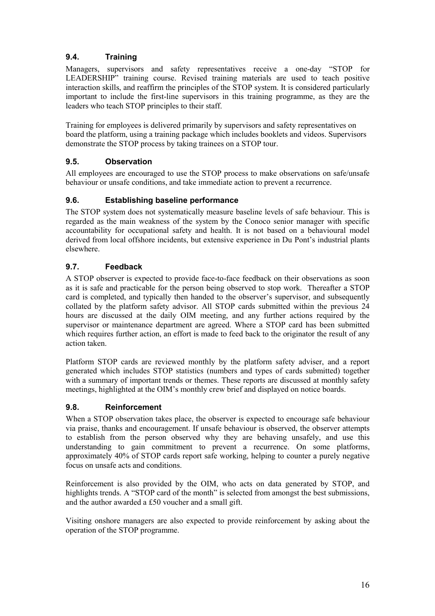#### <span id="page-17-0"></span>**9.4. Training**

Managers, supervisors and safety representatives receive a one-day "STOP for LEADERSHIP" training course. Revised training materials are used to teach positive interaction skills, and reaffirm the principles of the STOP system. It is considered particularly important to include the first-line supervisors in this training programme, as they are the leaders who teach STOP principles to their staff.

Training for employees is delivered primarily by supervisors and safety representatives on board the platform, using a training package which includes booklets and videos. Supervisors demonstrate the STOP process by taking trainees on a STOP tour.

#### **9.5. Observation**

All employees are encouraged to use the STOP process to make observations on safe/unsafe behaviour or unsafe conditions, and take immediate action to prevent a recurrence.

#### **9.6. Establishing baseline performance**

The STOP system does not systematically measure baseline levels of safe behaviour. This is regarded as the main weakness of the system by the Conoco senior manager with specific accountability for occupational safety and health. It is not based on a behavioural model derived from local offshore incidents, but extensive experience in Du Pont's industrial plants elsewhere.

#### **9.7. Feedback**

A STOP observer is expected to provide face-to-face feedback on their observations as soon as it is safe and practicable for the person being observed to stop work. Thereafter a STOP card is completed, and typically then handed to the observer's supervisor, and subsequently collated by the platform safety advisor. All STOP cards submitted within the previous 24 hours are discussed at the daily OIM meeting, and any further actions required by the supervisor or maintenance department are agreed. Where a STOP card has been submitted which requires further action, an effort is made to feed back to the originator the result of any action taken.

Platform STOP cards are reviewed monthly by the platform safety adviser, and a report generated which includes STOP statistics (numbers and types of cards submitted) together with a summary of important trends or themes. These reports are discussed at monthly safety meetings, highlighted at the OIM's monthly crew brief and displayed on notice boards.

#### **9.8. Reinforcement**

When a STOP observation takes place, the observer is expected to encourage safe behaviour via praise, thanks and encouragement. If unsafe behaviour is observed, the observer attempts to establish from the person observed why they are behaving unsafely, and use this understanding to gain commitment to prevent a recurrence. On some platforms, approximately 40% of STOP cards report safe working, helping to counter a purely negative focus on unsafe acts and conditions.

Reinforcement is also provided by the OIM, who acts on data generated by STOP, and highlights trends. A "STOP card of the month" is selected from amongst the best submissions, and the author awarded a £50 voucher and a small gift.

Visiting onshore managers are also expected to provide reinforcement by asking about the operation of the STOP programme.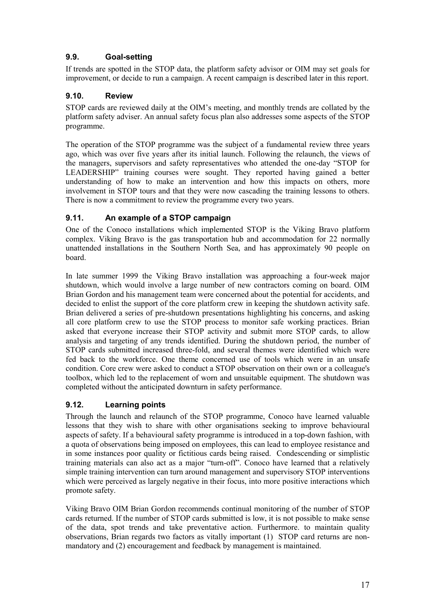#### <span id="page-18-0"></span>**9.9. Goal-setting**

If trends are spotted in the STOP data, the platform safety advisor or OIM may set goals for improvement, or decide to run a campaign. A recent campaign is described later in this report.

#### **9.10. Review**

STOP cards are reviewed daily at the OIM's meeting, and monthly trends are collated by the platform safety adviser. An annual safety focus plan also addresses some aspects of the STOP programme.

The operation of the STOP programme was the subject of a fundamental review three years ago, which was over five years after its initial launch. Following the relaunch, the views of the managers, supervisors and safety representatives who attended the one-day "STOP for LEADERSHIP" training courses were sought. They reported having gained a better understanding of how to make an intervention and how this impacts on others, more involvement in STOP tours and that they were now cascading the training lessons to others. There is now a commitment to review the programme every two years.

#### **9.11. An example of a STOP campaign**

One of the Conoco installations which implemented STOP is the Viking Bravo platform complex. Viking Bravo is the gas transportation hub and accommodation for 22 normally unattended installations in the Southern North Sea, and has approximately 90 people on board.

In late summer 1999 the Viking Bravo installation was approaching a four-week major shutdown, which would involve a large number of new contractors coming on board. OIM Brian Gordon and his management team were concerned about the potential for accidents, and decided to enlist the support of the core platform crew in keeping the shutdown activity safe. Brian delivered a series of pre-shutdown presentations highlighting his concerns, and asking all core platform crew to use the STOP process to monitor safe working practices. Brian asked that everyone increase their STOP activity and submit more STOP cards, to allow analysis and targeting of any trends identified. During the shutdown period, the number of STOP cards submitted increased three-fold, and several themes were identified which were fed back to the workforce. One theme concerned use of tools which were in an unsafe condition. Core crew were asked to conduct a STOP observation on their own or a colleague's toolbox, which led to the replacement of worn and unsuitable equipment. The shutdown was completed without the anticipated downturn in safety performance.

#### **9.12. Learning points**

Through the launch and relaunch of the STOP programme, Conoco have learned valuable lessons that they wish to share with other organisations seeking to improve behavioural aspects of safety. If a behavioural safety programme is introduced in a top-down fashion, with a quota of observations being imposed on employees, this can lead to employee resistance and in some instances poor quality or fictitious cards being raised. Condescending or simplistic training materials can also act as a major "turn-off". Conoco have learned that a relatively simple training intervention can turn around management and supervisory STOP interventions which were perceived as largely negative in their focus, into more positive interactions which promote safety.

Viking Bravo OIM Brian Gordon recommends continual monitoring of the number of STOP cards returned. If the number of STOP cards submitted is low, it is not possible to make sense of the data, spot trends and take preventative action. Furthermore. to maintain quality observations, Brian regards two factors as vitally important (1) STOP card returns are nonmandatory and (2) encouragement and feedback by management is maintained.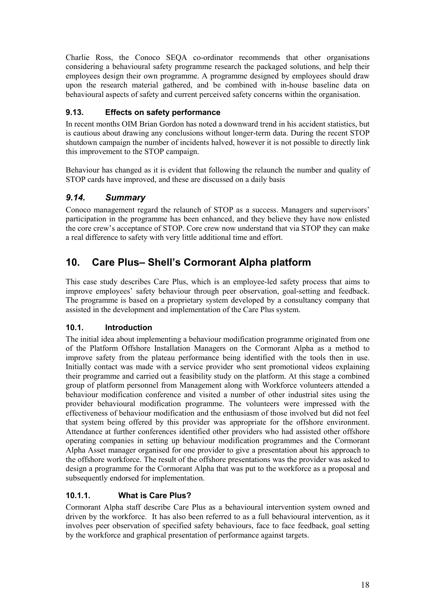<span id="page-19-0"></span>Charlie Ross, the Conoco SEQA co-ordinator recommends that other organisations considering a behavioural safety programme research the packaged solutions, and help their employees design their own programme. A programme designed by employees should draw upon the research material gathered, and be combined with in-house baseline data on behavioural aspects of safety and current perceived safety concerns within the organisation.

#### **9.13. Effects on safety performance**

In recent months OIM Brian Gordon has noted a downward trend in his accident statistics, but is cautious about drawing any conclusions without longer-term data. During the recent STOP shutdown campaign the number of incidents halved, however it is not possible to directly link this improvement to the STOP campaign.

Behaviour has changed as it is evident that following the relaunch the number and quality of STOP cards have improved, and these are discussed on a daily basis

#### *9.14. Summary*

Conoco management regard the relaunch of STOP as a success. Managers and supervisors' participation in the programme has been enhanced, and they believe they have now enlisted the core crew's acceptance of STOP. Core crew now understand that via STOP they can make a real difference to safety with very little additional time and effort.

### **10. Care Plus– Shell's Cormorant Alpha platform**

This case study describes Care Plus, which is an employee-led safety process that aims to improve employees' safety behaviour through peer observation, goal-setting and feedback. The programme is based on a proprietary system developed by a consultancy company that assisted in the development and implementation of the Care Plus system.

#### **10.1. Introduction**

The initial idea about implementing a behaviour modification programme originated from one of the Platform Offshore Installation Managers on the Cormorant Alpha as a method to improve safety from the plateau performance being identified with the tools then in use. Initially contact was made with a service provider who sent promotional videos explaining their programme and carried out a feasibility study on the platform. At this stage a combined group of platform personnel from Management along with Workforce volunteers attended a behaviour modification conference and visited a number of other industrial sites using the provider behavioural modification programme. The volunteers were impressed with the effectiveness of behaviour modification and the enthusiasm of those involved but did not feel that system being offered by this provider was appropriate for the offshore environment. Attendance at further conferences identified other providers who had assisted other offshore operating companies in setting up behaviour modification programmes and the Cormorant Alpha Asset manager organised for one provider to give a presentation about his approach to the offshore workforce. The result of the offshore presentations was the provider was asked to design a programme for the Cormorant Alpha that was put to the workforce as a proposal and subsequently endorsed for implementation.

#### **10.1.1. What is Care Plus?**

Cormorant Alpha staff describe Care Plus as a behavioural intervention system owned and driven by the workforce. It has also been referred to as a full behavioural intervention, as it involves peer observation of specified safety behaviours, face to face feedback, goal setting by the workforce and graphical presentation of performance against targets.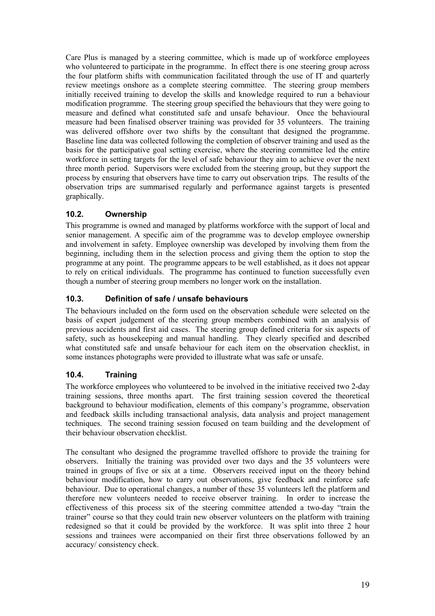<span id="page-20-0"></span>Care Plus is managed by a steering committee, which is made up of workforce employees who volunteered to participate in the programme. In effect there is one steering group across the four platform shifts with communication facilitated through the use of IT and quarterly review meetings onshore as a complete steering committee. The steering group members initially received training to develop the skills and knowledge required to run a behaviour modification programme. The steering group specified the behaviours that they were going to measure and defined what constituted safe and unsafe behaviour. Once the behavioural measure had been finalised observer training was provided for 35 volunteers. The training was delivered offshore over two shifts by the consultant that designed the programme. Baseline line data was collected following the completion of observer training and used as the basis for the participative goal setting exercise, where the steering committee led the entire workforce in setting targets for the level of safe behaviour they aim to achieve over the next three month period. Supervisors were excluded from the steering group, but they support the process by ensuring that observers have time to carry out observation trips. The results of the observation trips are summarised regularly and performance against targets is presented graphically.

#### **10.2. Ownership**

This programme is owned and managed by platforms workforce with the support of local and senior management. A specific aim of the programme was to develop employee ownership and involvement in safety. Employee ownership was developed by involving them from the beginning, including them in the selection process and giving them the option to stop the programme at any point. The programme appears to be well established, as it does not appear to rely on critical individuals. The programme has continued to function successfully even though a number of steering group members no longer work on the installation.

#### **10.3. Definition of safe / unsafe behaviours**

The behaviours included on the form used on the observation schedule were selected on the basis of expert judgement of the steering group members combined with an analysis of previous accidents and first aid cases. The steering group defined criteria for six aspects of safety, such as housekeeping and manual handling. They clearly specified and described what constituted safe and unsafe behaviour for each item on the observation checklist, in some instances photographs were provided to illustrate what was safe or unsafe.

#### **10.4. Training**

The workforce employees who volunteered to be involved in the initiative received two 2-day training sessions, three months apart. The first training session covered the theoretical background to behaviour modification, elements of this company's programme, observation and feedback skills including transactional analysis, data analysis and project management techniques. The second training session focused on team building and the development of their behaviour observation checklist.

The consultant who designed the programme travelled offshore to provide the training for observers. Initially the training was provided over two days and the 35 volunteers were trained in groups of five or six at a time. Observers received input on the theory behind behaviour modification, how to carry out observations, give feedback and reinforce safe behaviour. Due to operational changes, a number of these 35 volunteers left the platform and therefore new volunteers needed to receive observer training. In order to increase the effectiveness of this process six of the steering committee attended a two-day "train the trainer" course so that they could train new observer volunteers on the platform with training redesigned so that it could be provided by the workforce. It was split into three 2 hour sessions and trainees were accompanied on their first three observations followed by an accuracy/ consistency check.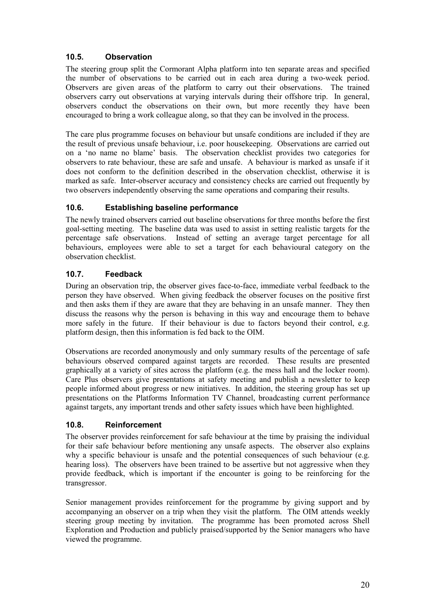#### <span id="page-21-0"></span>**10.5. Observation**

The steering group split the Cormorant Alpha platform into ten separate areas and specified the number of observations to be carried out in each area during a two-week period. Observers are given areas of the platform to carry out their observations. The trained observers carry out observations at varying intervals during their offshore trip. In general, observers conduct the observations on their own, but more recently they have been encouraged to bring a work colleague along, so that they can be involved in the process.

The care plus programme focuses on behaviour but unsafe conditions are included if they are the result of previous unsafe behaviour, i.e. poor housekeeping. Observations are carried out on a 'no name no blame' basis. The observation checklist provides two categories for observers to rate behaviour, these are safe and unsafe. A behaviour is marked as unsafe if it does not conform to the definition described in the observation checklist, otherwise it is marked as safe. Inter-observer accuracy and consistency checks are carried out frequently by two observers independently observing the same operations and comparing their results.

#### **10.6. Establishing baseline performance**

The newly trained observers carried out baseline observations for three months before the first goal-setting meeting. The baseline data was used to assist in setting realistic targets for the percentage safe observations. Instead of setting an average target percentage for all behaviours, employees were able to set a target for each behavioural category on the observation checklist.

#### **10.7. Feedback**

During an observation trip, the observer gives face-to-face, immediate verbal feedback to the person they have observed. When giving feedback the observer focuses on the positive first and then asks them if they are aware that they are behaving in an unsafe manner. They then discuss the reasons why the person is behaving in this way and encourage them to behave more safely in the future. If their behaviour is due to factors beyond their control, e.g. platform design, then this information is fed back to the OIM.

Observations are recorded anonymously and only summary results of the percentage of safe behaviours observed compared against targets are recorded. These results are presented graphically at a variety of sites across the platform (e.g. the mess hall and the locker room). Care Plus observers give presentations at safety meeting and publish a newsletter to keep people informed about progress or new initiatives. In addition, the steering group has set up presentations on the Platforms Information TV Channel, broadcasting current performance against targets, any important trends and other safety issues which have been highlighted.

#### **10.8. Reinforcement**

The observer provides reinforcement for safe behaviour at the time by praising the individual for their safe behaviour before mentioning any unsafe aspects. The observer also explains why a specific behaviour is unsafe and the potential consequences of such behaviour (e.g. hearing loss). The observers have been trained to be assertive but not aggressive when they provide feedback, which is important if the encounter is going to be reinforcing for the transgressor.

Senior management provides reinforcement for the programme by giving support and by accompanying an observer on a trip when they visit the platform. The OIM attends weekly steering group meeting by invitation. The programme has been promoted across Shell Exploration and Production and publicly praised/supported by the Senior managers who have viewed the programme.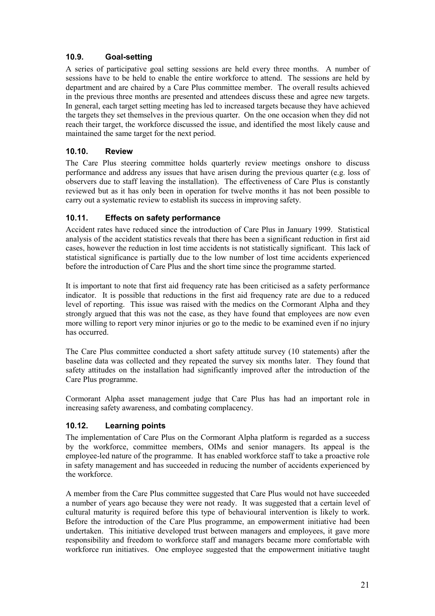#### <span id="page-22-0"></span>**10.9. Goal-setting**

A series of participative goal setting sessions are held every three months. A number of sessions have to be held to enable the entire workforce to attend. The sessions are held by department and are chaired by a Care Plus committee member. The overall results achieved in the previous three months are presented and attendees discuss these and agree new targets. In general, each target setting meeting has led to increased targets because they have achieved the targets they set themselves in the previous quarter. On the one occasion when they did not reach their target, the workforce discussed the issue, and identified the most likely cause and maintained the same target for the next period.

#### **10.10. Review**

The Care Plus steering committee holds quarterly review meetings onshore to discuss performance and address any issues that have arisen during the previous quarter (e.g. loss of observers due to staff leaving the installation). The effectiveness of Care Plus is constantly reviewed but as it has only been in operation for twelve months it has not been possible to carry out a systematic review to establish its success in improving safety.

#### **10.11. Effects on safety performance**

Accident rates have reduced since the introduction of Care Plus in January 1999. Statistical analysis of the accident statistics reveals that there has been a significant reduction in first aid cases, however the reduction in lost time accidents is not statistically significant. This lack of statistical significance is partially due to the low number of lost time accidents experienced before the introduction of Care Plus and the short time since the programme started.

It is important to note that first aid frequency rate has been criticised as a safety performance indicator. It is possible that reductions in the first aid frequency rate are due to a reduced level of reporting. This issue was raised with the medics on the Cormorant Alpha and they strongly argued that this was not the case, as they have found that employees are now even more willing to report very minor injuries or go to the medic to be examined even if no injury has occurred.

The Care Plus committee conducted a short safety attitude survey (10 statements) after the baseline data was collected and they repeated the survey six months later. They found that safety attitudes on the installation had significantly improved after the introduction of the Care Plus programme.

Cormorant Alpha asset management judge that Care Plus has had an important role in increasing safety awareness, and combating complacency.

#### **10.12. Learning points**

The implementation of Care Plus on the Cormorant Alpha platform is regarded as a success by the workforce, committee members, OIMs and senior managers. Its appeal is the employee-led nature of the programme. It has enabled workforce staff to take a proactive role in safety management and has succeeded in reducing the number of accidents experienced by the workforce.

A member from the Care Plus committee suggested that Care Plus would not have succeeded a number of years ago because they were not ready. It was suggested that a certain level of cultural maturity is required before this type of behavioural intervention is likely to work. Before the introduction of the Care Plus programme, an empowerment initiative had been undertaken. This initiative developed trust between managers and employees, it gave more responsibility and freedom to workforce staff and managers became more comfortable with workforce run initiatives. One employee suggested that the empowerment initiative taught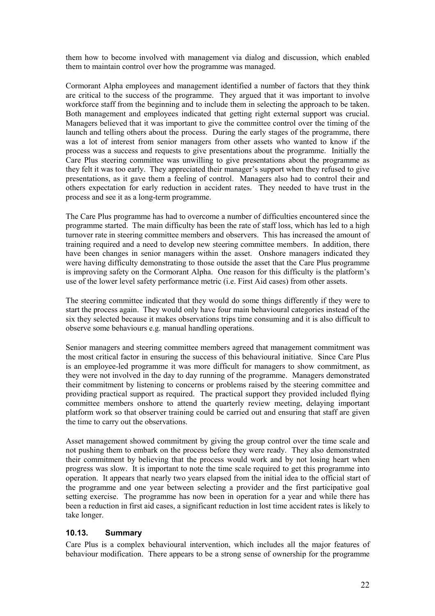<span id="page-23-0"></span>them how to become involved with management via dialog and discussion, which enabled them to maintain control over how the programme was managed.

Cormorant Alpha employees and management identified a number of factors that they think are critical to the success of the programme. They argued that it was important to involve workforce staff from the beginning and to include them in selecting the approach to be taken. Both management and employees indicated that getting right external support was crucial. Managers believed that it was important to give the committee control over the timing of the launch and telling others about the process. During the early stages of the programme, there was a lot of interest from senior managers from other assets who wanted to know if the process was a success and requests to give presentations about the programme. Initially the Care Plus steering committee was unwilling to give presentations about the programme as they felt it was too early. They appreciated their manager's support when they refused to give presentations, as it gave them a feeling of control. Managers also had to control their and others expectation for early reduction in accident rates. They needed to have trust in the process and see it as a long-term programme.

The Care Plus programme has had to overcome a number of difficulties encountered since the programme started. The main difficulty has been the rate of staff loss, which has led to a high turnover rate in steering committee members and observers. This has increased the amount of training required and a need to develop new steering committee members. In addition, there have been changes in senior managers within the asset. Onshore managers indicated they were having difficulty demonstrating to those outside the asset that the Care Plus programme is improving safety on the Cormorant Alpha. One reason for this difficulty is the platform's use of the lower level safety performance metric (i.e. First Aid cases) from other assets.

The steering committee indicated that they would do some things differently if they were to start the process again. They would only have four main behavioural categories instead of the six they selected because it makes observations trips time consuming and it is also difficult to observe some behaviours e.g. manual handling operations.

Senior managers and steering committee members agreed that management commitment was the most critical factor in ensuring the success of this behavioural initiative. Since Care Plus is an employee-led programme it was more difficult for managers to show commitment, as they were not involved in the day to day running of the programme. Managers demonstrated their commitment by listening to concerns or problems raised by the steering committee and providing practical support as required. The practical support they provided included flying committee members onshore to attend the quarterly review meeting, delaying important platform work so that observer training could be carried out and ensuring that staff are given the time to carry out the observations.

Asset management showed commitment by giving the group control over the time scale and not pushing them to embark on the process before they were ready. They also demonstrated their commitment by believing that the process would work and by not losing heart when progress was slow. It is important to note the time scale required to get this programme into operation. It appears that nearly two years elapsed from the initial idea to the official start of the programme and one year between selecting a provider and the first participative goal setting exercise. The programme has now been in operation for a year and while there has been a reduction in first aid cases, a significant reduction in lost time accident rates is likely to take longer.

#### **10.13. Summary**

Care Plus is a complex behavioural intervention, which includes all the major features of behaviour modification. There appears to be a strong sense of ownership for the programme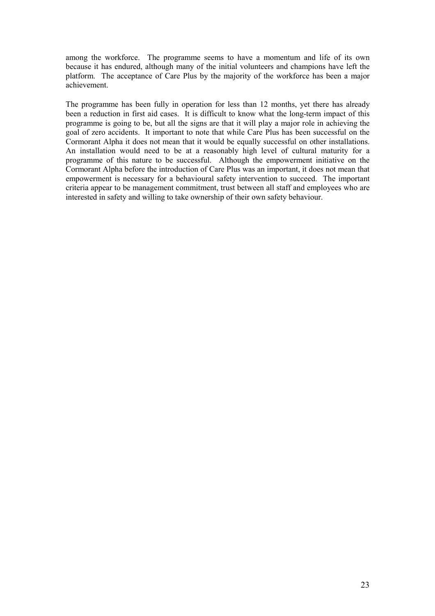among the workforce. The programme seems to have a momentum and life of its own because it has endured, although many of the initial volunteers and champions have left the platform. The acceptance of Care Plus by the majority of the workforce has been a major achievement.

The programme has been fully in operation for less than 12 months, yet there has already been a reduction in first aid cases. It is difficult to know what the long-term impact of this programme is going to be, but all the signs are that it will play a major role in achieving the goal of zero accidents. It important to note that while Care Plus has been successful on the Cormorant Alpha it does not mean that it would be equally successful on other installations. An installation would need to be at a reasonably high level of cultural maturity for a programme of this nature to be successful. Although the empowerment initiative on the Cormorant Alpha before the introduction of Care Plus was an important, it does not mean that empowerment is necessary for a behavioural safety intervention to succeed. The important criteria appear to be management commitment, trust between all staff and employees who are interested in safety and willing to take ownership of their own safety behaviour.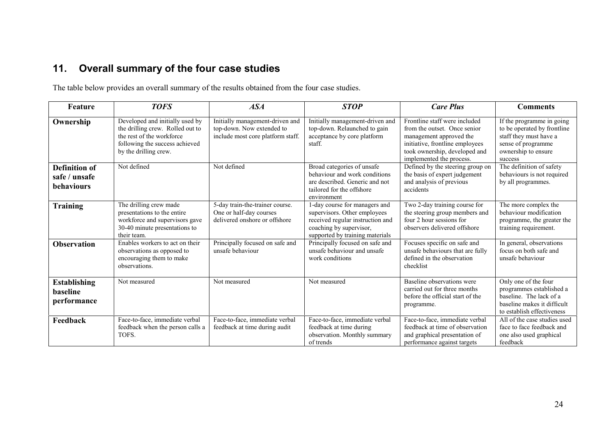## <span id="page-25-0"></span>**11. Overall summary of the four case studies**

The table below provides an overall summary of the results obtained from the four case studies.

| Feature                                             | <b>TOFS</b>                                                                                                                                                 | ASA                                                                                               | <b>STOP</b>                                                                                                                                                     | <b>Care Plus</b>                                                                                                                                                                         | <b>Comments</b>                                                                                                                            |
|-----------------------------------------------------|-------------------------------------------------------------------------------------------------------------------------------------------------------------|---------------------------------------------------------------------------------------------------|-----------------------------------------------------------------------------------------------------------------------------------------------------------------|------------------------------------------------------------------------------------------------------------------------------------------------------------------------------------------|--------------------------------------------------------------------------------------------------------------------------------------------|
| Ownership                                           | Developed and initially used by<br>the drilling crew. Rolled out to<br>the rest of the workforce<br>following the success achieved<br>by the drilling crew. | Initially management-driven and<br>top-down. Now extended to<br>include most core platform staff. | Initially management-driven and<br>top-down. Relaunched to gain<br>acceptance by core platform<br>staff.                                                        | Frontline staff were included<br>from the outset. Once senior<br>management approved the<br>initiative, frontline employees<br>took ownership, developed and<br>implemented the process. | If the programme in going<br>to be operated by frontline<br>staff they must have a<br>sense of programme<br>ownership to ensure<br>success |
| <b>Definition of</b><br>safe / unsafe<br>behaviours | Not defined                                                                                                                                                 | Not defined                                                                                       | Broad categories of unsafe<br>behaviour and work conditions<br>are described. Generic and not<br>tailored for the offshore<br>environment                       | Defined by the steering group on<br>the basis of expert judgement<br>and analysis of previous<br>accidents                                                                               | The definition of safety<br>behaviours is not required<br>by all programmes.                                                               |
| <b>Training</b>                                     | The drilling crew made<br>presentations to the entire<br>workforce and supervisors gave<br>30-40 minute presentations to<br>their team.                     | 5-day train-the-trainer course.<br>One or half-day courses<br>delivered onshore or offshore       | 1-day course for managers and<br>supervisors. Other employees<br>received regular instruction and<br>coaching by supervisor,<br>supported by training materials | Two 2-day training course for<br>the steering group members and<br>four 2 hour sessions for<br>observers delivered offshore                                                              | The more complex the<br>behaviour modification<br>programme, the greater the<br>training requirement.                                      |
| <b>Observation</b>                                  | Enables workers to act on their<br>observations as opposed to<br>encouraging them to make<br>observations.                                                  | Principally focused on safe and<br>unsafe behaviour                                               | Principally focused on safe and<br>unsafe behaviour and unsafe<br>work conditions                                                                               | Focuses specific on safe and<br>unsafe behaviours that are fully<br>defined in the observation<br>checklist                                                                              | In general, observations<br>focus on both safe and<br>unsafe behaviour                                                                     |
| <b>Establishing</b><br>baseline<br>performance      | Not measured                                                                                                                                                | Not measured                                                                                      | Not measured                                                                                                                                                    | Baseline observations were<br>carried out for three months<br>before the official start of the<br>programme.                                                                             | Only one of the four<br>programmes established a<br>baseline. The lack of a<br>baseline makes it difficult<br>to establish effectiveness   |
| Feedback                                            | Face-to-face, immediate verbal<br>feedback when the person calls a<br>TOFS.                                                                                 | Face-to-face, immediate verbal<br>feedback at time during audit                                   | Face-to-face, immediate verbal<br>feedback at time during<br>observation. Monthly summary<br>of trends                                                          | Face-to-face, immediate verbal<br>feedback at time of observation<br>and graphical presentation of<br>performance against targets                                                        | All of the case studies used<br>face to face feedback and<br>one also used graphical<br>feedback                                           |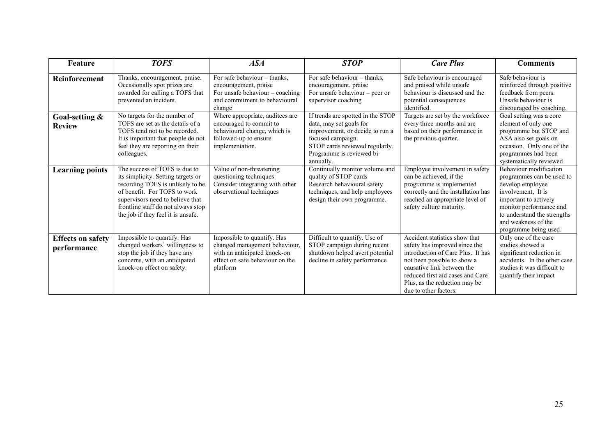| Feature                                 | <b>TOFS</b>                                                                                                                                                                                                                                             | ASA                                                                                                                                         | <b>STOP</b>                                                                                                                                                                                      | <b>Care Plus</b>                                                                                                                                                                                                                                               | <b>Comments</b>                                                                                                                                                                                                                  |
|-----------------------------------------|---------------------------------------------------------------------------------------------------------------------------------------------------------------------------------------------------------------------------------------------------------|---------------------------------------------------------------------------------------------------------------------------------------------|--------------------------------------------------------------------------------------------------------------------------------------------------------------------------------------------------|----------------------------------------------------------------------------------------------------------------------------------------------------------------------------------------------------------------------------------------------------------------|----------------------------------------------------------------------------------------------------------------------------------------------------------------------------------------------------------------------------------|
| <b>Reinforcement</b>                    | Thanks, encouragement, praise.<br>Occasionally spot prizes are<br>awarded for calling a TOFS that<br>prevented an incident.                                                                                                                             | For safe behaviour – thanks.<br>encouragement, praise<br>For unsafe behaviour - coaching<br>and commitment to behavioural<br>change         | For safe behaviour – thanks,<br>encouragement, praise<br>For unsafe behaviour - peer or<br>supervisor coaching                                                                                   | Safe behaviour is encouraged<br>and praised while unsafe<br>behaviour is discussed and the<br>potential consequences<br>identified.                                                                                                                            | Safe behaviour is<br>reinforced through positive<br>feedback from peers.<br>Unsafe behaviour is<br>discouraged by coaching.                                                                                                      |
| Goal-setting &<br><b>Review</b>         | No targets for the number of<br>TOFS are set as the details of a<br>TOFS tend not to be recorded.<br>It is important that people do not<br>feel they are reporting on their<br>colleagues.                                                              | Where appropriate, auditees are<br>encouraged to commit to<br>behavioural change, which is<br>followed-up to ensure<br>implementation.      | If trends are spotted in the STOP<br>data, may set goals for<br>improvement, or decide to run a<br>focused campaign.<br>STOP cards reviewed regularly.<br>Programme is reviewed bi-<br>annually. | Targets are set by the workforce<br>every three months and are<br>based on their performance in<br>the previous quarter.                                                                                                                                       | Goal setting was a core<br>element of only one<br>programme but STOP and<br>ASA also set goals on<br>occasion. Only one of the<br>programmes had been<br>systematically reviewed                                                 |
| <b>Learning points</b>                  | The success of TOFS is due to<br>its simplicity. Setting targets or<br>recording TOFS is unlikely to be<br>of benefit. For TOFS to work<br>supervisors need to believe that<br>frontline staff do not always stop<br>the job if they feel it is unsafe. | Value of non-threatening<br>questioning techniques<br>Consider integrating with other<br>observational techniques                           | Continually monitor volume and<br>quality of STOP cards<br>Research behavioural safety<br>techniques, and help employees<br>design their own programme.                                          | Employee involvement in safety<br>can be achieved, if the<br>programme is implemented<br>correctly and the installation has<br>reached an appropriate level of<br>safety culture maturity.                                                                     | Behaviour modification<br>programmes can be used to<br>develop employee<br>involvement, It is<br>important to actively<br>monitor performance and<br>to understand the strengths<br>and weakness of the<br>programme being used. |
| <b>Effects on safety</b><br>performance | Impossible to quantify. Has<br>changed workers' willingness to<br>stop the job if they have any<br>concerns, with an anticipated<br>knock-on effect on safety.                                                                                          | Impossible to quantify. Has<br>changed management behaviour,<br>with an anticipated knock-on<br>effect on safe behaviour on the<br>platform | Difficult to quantify. Use of<br>STOP campaign during recent<br>shutdown helped avert potential<br>decline in safety performance                                                                 | Accident statistics show that<br>safety has improved since the<br>introduction of Care Plus. It has<br>not been possible to show a<br>causative link between the<br>reduced first aid cases and Care<br>Plus, as the reduction may be<br>due to other factors. | Only one of the case<br>studies showed a<br>significant reduction in<br>accidents. In the other case<br>studies it was difficult to<br>quantify their impact                                                                     |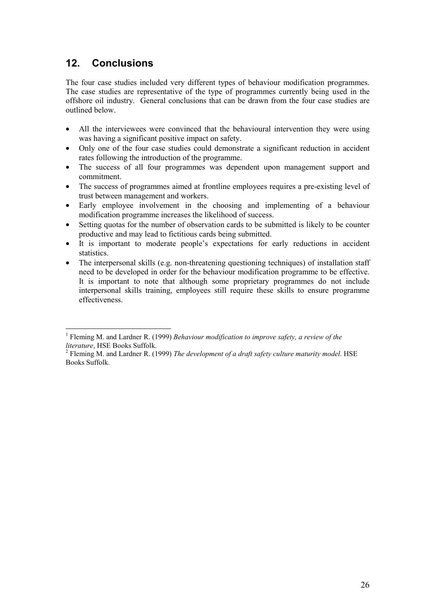## <span id="page-27-0"></span>**12. Conclusions**

The four case studies included very different types of behaviour modification programmes. The case studies are representative of the type of programmes currently being used in the offshore oil industry. General conclusions that can be drawn from the four case studies are outlined below.

- All the interviewees were convinced that the behavioural intervention they were using was having a significant positive impact on safety.
- Only one of the four case studies could demonstrate a significant reduction in accident rates following the introduction of the programme.
- The success of all four programmes was dependent upon management support and commitment.
- The success of programmes aimed at frontline employees requires a pre-existing level of trust between management and workers.
- Early employee involvement in the choosing and implementing of a behaviour modification programme increases the likelihood of success.
- Setting quotas for the number of observation cards to be submitted is likely to be counter productive and may lead to fictitious cards being submitted.
- It is important to moderate people's expectations for early reductions in accident statistics.
- The interpersonal skills (e.g. non-threatening questioning techniques) of installation staff need to be developed in order for the behaviour modification programme to be effective. It is important to note that although some proprietary programmes do not include interpersonal skills training, employees still require these skills to ensure programme effectiveness.

 1 Fleming M. and Lardner R. (1999) *Behaviour modification to improve safety, a review of the literature*, HSE Books Suffolk. <sup>2</sup>

<sup>&</sup>lt;sup>2</sup> Fleming M. and Lardner R. (1999) *The development of a draft safety culture maturity model.* HSE Books Suffolk.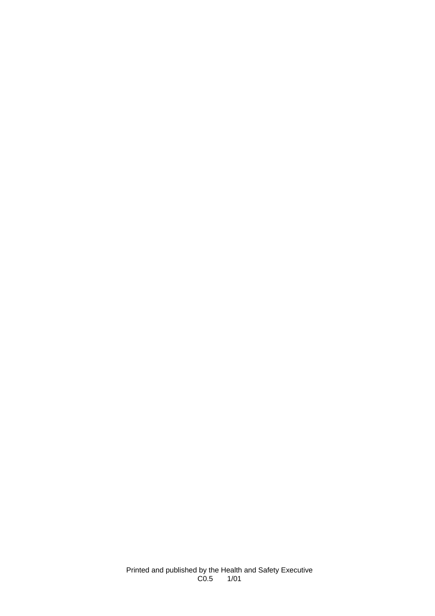Printed and published by the Health and Safety Executive C0.5 1/01